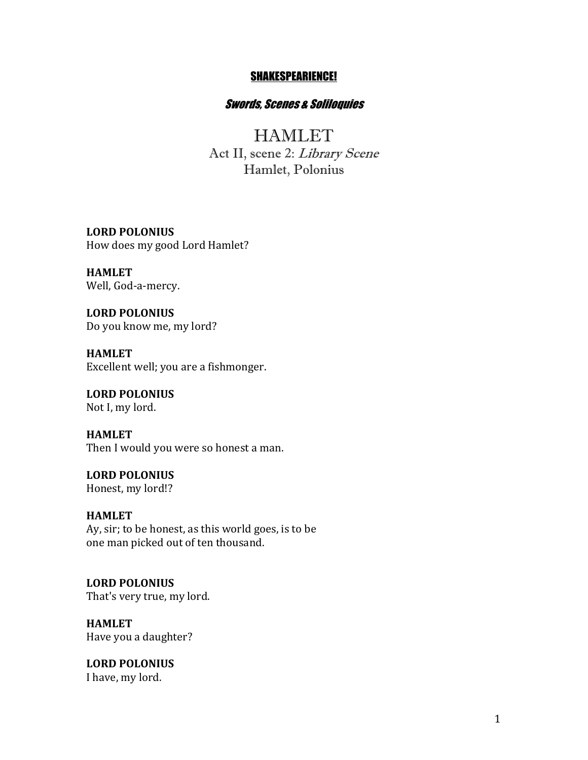#### SHAKESPEARIENCE!

# Swords, Scenes & Soliloquies

**HAMLET** Act II, scene 2: Library Scene Hamlet, Polonius

**LORD POLONIUS** How does my good Lord Hamlet?

**HAMLET** Well, God-a-mercy.

**LORD POLONIUS** Do you know me, my lord?

**HAMLET** Excellent well; you are a fishmonger.

**LORD POLONIUS** Not I, my lord.

**HAMLET** Then I would you were so honest a man.

**LORD POLONIUS** Honest, my lord!?

**HAMLET** Ay, sir; to be honest, as this world goes, is to be one man picked out of ten thousand.

**LORD POLONIUS** That's very true, my lord.

**HAMLET** Have you a daughter?

**LORD POLONIUS** I have, my lord.